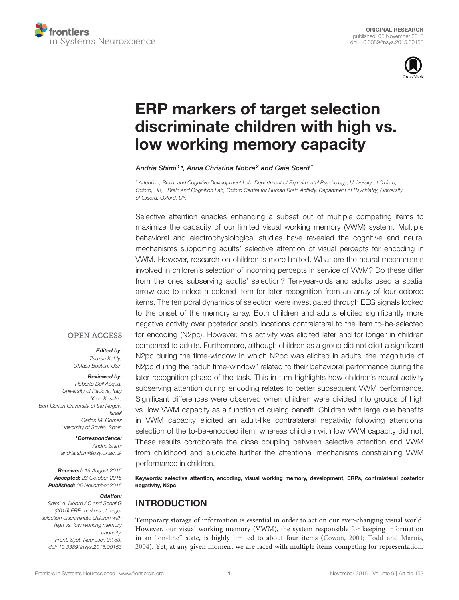



# [ERP markers of target selection](http://journal.frontiersin.org/article/10.3389/fnsys.2015.00153/abstract) [discriminate children with high vs.](http://journal.frontiersin.org/article/10.3389/fnsys.2015.00153/abstract) [low working memory capacity](http://journal.frontiersin.org/article/10.3389/fnsys.2015.00153/abstract)

[Andria Shimi](http://loop.frontiersin.org/people/198236/overview)<sup>1\*</sup>, [Anna Christina Nobre](http://loop.frontiersin.org/people/317/overview)<sup>2</sup> and [Gaia Scerif](http://loop.frontiersin.org/people/469/overview)<sup>1</sup>

<sup>1</sup> Attention, Brain, and Cognitive Development Lab, Department of Experimental Psychology, University of Oxford, Oxford, UK, <sup>2</sup> Brain and Cognition Lab, Oxford Centre for Human Brain Activity, Department of Psychiatry, University of Oxford, Oxford, UK

Selective attention enables enhancing a subset out of multiple competing items to maximize the capacity of our limited visual working memory (VWM) system. Multiple behavioral and electrophysiological studies have revealed the cognitive and neural mechanisms supporting adults' selective attention of visual percepts for encoding in VWM. However, research on children is more limited. What are the neural mechanisms involved in children's selection of incoming percepts in service of VWM? Do these differ from the ones subserving adults' selection? Ten-year-olds and adults used a spatial arrow cue to select a colored item for later recognition from an array of four colored items. The temporal dynamics of selection were investigated through EEG signals locked to the onset of the memory array. Both children and adults elicited significantly more negative activity over posterior scalp locations contralateral to the item to-be-selected for encoding (N2pc). However, this activity was elicited later and for longer in children compared to adults. Furthermore, although children as a group did not elicit a significant N2pc during the time-window in which N2pc was elicited in adults, the magnitude of N2pc during the "adult time-window" related to their behavioral performance during the later recognition phase of the task. This in turn highlights how children's neural activity subserving attention during encoding relates to better subsequent VWM performance. Significant differences were observed when children were divided into groups of high vs. low VWM capacity as a function of cueing benefit. Children with large cue benefits in VWM capacity elicited an adult-like contralateral negativity following attentional selection of the to-be-encoded item, whereas children with low VWM capacity did not. These results corroborate the close coupling between selective attention and VWM from childhood and elucidate further the attentional mechanisms constraining VWM performance in children.

Keywords: selective attention, encoding, visual working memory, development, ERPs, contralateral posterior negativity, N2pc

## INTRODUCTION

Temporary storage of information is essential in order to act on our ever-changing visual world. However, our visual working memory (VWM), the system responsible for keeping information in an "on-line" state, is highly limited to about four items [\(Cowan, 2001;](#page-8-0) [Todd and Marois,](#page-9-0) [2004\)](#page-9-0). Yet, at any given moment we are faced with multiple items competing for representation.

#### **OPEN ACCESS**

Edited by: Zsuzsa Kaldy, UMass Boston, USA

Reviewed by: Roberto Dell'Acqua, University of Padova, Italy Yoav Kessler, Ben-Gurion University of the Negev, Israel Carlos M. Gómez University of Seville, Spain

> \*Correspondence: Andria Shimi [andria.shimi@psy.ox.ac.uk](mailto:andria.shimi@psy.ox.ac.uk)

Received: 19 August 2015 Accepted: 23 October 2015 Published: 05 November 2015

#### Citation:

Shimi A, Nobre AC and Scerif G (2015) ERP markers of target selection discriminate children with high vs. low working memory capacity. Front. Syst. Neurosci. 9:153. [doi: 10.3389/fnsys.2015.00153](http://dx.doi.org/10.3389/fnsys.2015.00153)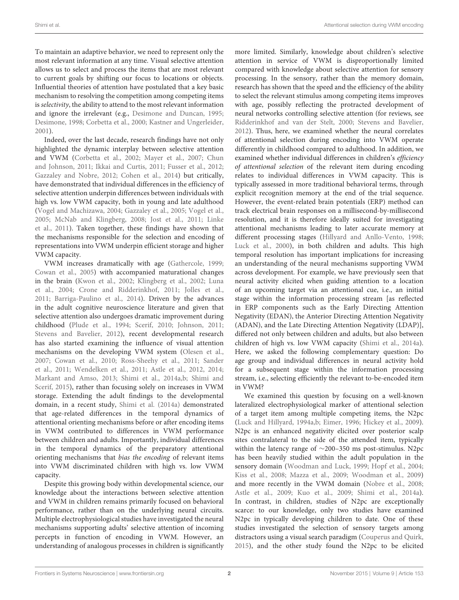To maintain an adaptive behavior, we need to represent only the most relevant information at any time. Visual selective attention allows us to select and process the items that are most relevant to current goals by shifting our focus to locations or objects. Influential theories of attention have postulated that a key basic mechanism to resolving the competition among competing items is selectivity, the ability to attend to the most relevant information and ignore the irrelevant (e.g., [Desimone and Duncan,](#page-8-1) [1995;](#page-8-1) [Desimone,](#page-8-2) [1998;](#page-8-2) [Corbetta et al.,](#page-8-3) [2000;](#page-8-3) [Kastner and Ungerleider,](#page-8-4) [2001\)](#page-8-4).

Indeed, over the last decade, research findings have not only highlighted the dynamic interplay between selective attention and VWM [\(Corbetta et al.,](#page-8-5) [2002;](#page-8-5) [Mayer et al.,](#page-9-1) [2007;](#page-9-1) [Chun](#page-8-6) [and Johnson,](#page-8-6) [2011;](#page-8-6) [Ikkai and Curtis,](#page-8-7) [2011;](#page-8-7) [Fusser et al.,](#page-8-8) [2012;](#page-8-8) [Gazzaley and Nobre,](#page-8-9) [2012;](#page-8-9) [Cohen et al.,](#page-8-10) [2014\)](#page-8-10) but critically, have demonstrated that individual differences in the efficiency of selective attention underpin differences between individuals with high vs. low VWM capacity, both in young and late adulthood [\(Vogel and Machizawa,](#page-9-2) [2004;](#page-9-2) [Gazzaley et al.,](#page-8-11) [2005;](#page-8-11) [Vogel et al.,](#page-9-3) [2005;](#page-9-3) [McNab and Klingberg,](#page-9-4) [2008;](#page-9-4) [Jost et al.,](#page-8-12) [2011;](#page-8-12) [Linke](#page-9-5) [et al.,](#page-9-5) [2011\)](#page-9-5). Taken together, these findings have shown that the mechanisms responsible for the selection and encoding of representations into VWM underpin efficient storage and higher VWM capacity.

VWM increases dramatically with age [\(Gathercole,](#page-8-13) [1999;](#page-8-13) [Cowan et al.,](#page-8-14) [2005\)](#page-8-14) with accompanied maturational changes in the brain [\(Kwon et al.,](#page-9-6) [2002;](#page-9-6) [Klingberg et al.,](#page-8-15) [2002;](#page-8-15) [Luna](#page-9-7) [et al.,](#page-9-7) [2004;](#page-9-7) [Crone and Ridderinkhof,](#page-8-16) [2011;](#page-8-16) [Jolles et al.,](#page-8-17) [2011;](#page-8-17) [Barriga-Paulino et al.,](#page-8-18) [2014\)](#page-8-18). Driven by the advances in the adult cognitive neuroscience literature and given that selective attention also undergoes dramatic improvement during childhood [\(Plude et al.,](#page-9-8) [1994;](#page-9-8) [Scerif,](#page-9-9) [2010;](#page-9-9) [Johnson,](#page-8-19) [2011;](#page-8-19) [Stevens and Bavelier,](#page-9-10) [2012\)](#page-9-10), recent developmental research has also started examining the influence of visual attention mechanisms on the developing VWM system [\(Olesen et al.,](#page-9-11) [2007;](#page-9-11) [Cowan et al.,](#page-8-20) [2010;](#page-8-20) [Ross-Sheehy et al.,](#page-9-12) [2011;](#page-9-12) [Sander](#page-9-13) [et al.,](#page-9-13) [2011;](#page-9-13) [Wendelken et al.,](#page-9-14) [2011;](#page-9-14) [Astle et al.,](#page-8-21) [2012,](#page-8-21) [2014;](#page-8-22) [Markant and Amso,](#page-9-15) [2013;](#page-9-15) [Shimi et al.,](#page-9-16) [2014a,](#page-9-16)[b;](#page-9-17) [Shimi and](#page-9-18) [Scerif,](#page-9-18) [2015\)](#page-9-18), rather than focusing solely on increases in VWM storage. Extending the adult findings to the developmental domain, in a recent study, [Shimi et al.](#page-9-16) [\(2014a\)](#page-9-16) demonstrated that age-related differences in the temporal dynamics of attentional orienting mechanisms before or after encoding items in VWM contributed to differences in VWM performance between children and adults. Importantly, individual differences in the temporal dynamics of the preparatory attentional orienting mechanisms that bias the encoding of relevant items into VWM discriminated children with high vs. low VWM capacity.

Despite this growing body within developmental science, our knowledge about the interactions between selective attention and VWM in children remains primarily focused on behavioral performance, rather than on the underlying neural circuits. Multiple electrophysiological studies have investigated the neural mechanisms supporting adults' selective attention of incoming percepts in function of encoding in VWM. However, an understanding of analogous processes in children is significantly

more limited. Similarly, knowledge about children's selective attention in service of VWM is disproportionally limited compared with knowledge about selective attention for sensory processing. In the sensory, rather than the memory domain, research has shown that the speed and the efficiency of the ability to select the relevant stimulus among competing items improves with age, possibly reflecting the protracted development of neural networks controlling selective attention (for reviews, see [Ridderinkhof and van der Stelt,](#page-9-19) [2000;](#page-9-19) [Stevens and Bavelier,](#page-9-10) [2012\)](#page-9-10). Thus, here, we examined whether the neural correlates of attentional selection during encoding into VWM operate differently in childhood compared to adulthood. In addition, we examined whether individual differences in children's efficiency of attentional selection of the relevant item during encoding relates to individual differences in VWM capacity. This is typically assessed in more traditional behavioral terms, through explicit recognition memory at the end of the trial sequence. However, the event-related brain potentials (ERP) method can track electrical brain responses on a millisecond-by-millisecond resolution, and it is therefore ideally suited for investigating attentional mechanisms leading to later accurate memory at different processing stages [\(Hillyard and Anllo-Vento,](#page-8-23) [1998;](#page-8-23) [Luck et al.,](#page-9-20) [2000\)](#page-9-20), in both children and adults. This high temporal resolution has important implications for increasing an understanding of the neural mechanisms supporting VWM across development. For example, we have previously seen that neural activity elicited when guiding attention to a location of an upcoming target via an attentional cue, i.e., an initial stage within the information processing stream [as reflected in ERP components such as the Early Directing Attention Negativity (EDAN), the Anterior Directing Attention Negativity (ADAN), and the Late Directing Attention Negativity (LDAP)], differed not only between children and adults, but also between children of high vs. low VWM capacity [\(Shimi et al.,](#page-9-16) [2014a\)](#page-9-16). Here, we asked the following complementary question: Do age group and individual differences in neural activity hold for a subsequent stage within the information processing stream, i.e., selecting efficiently the relevant to-be-encoded item in VWM?

We examined this question by focusing on a well-known lateralized electrophysiological marker of attentional selection of a target item among multiple competing items, the N2pc [\(Luck and Hillyard,](#page-9-21) [1994a](#page-9-21)[,b;](#page-9-22) [Eimer,](#page-8-24) [1996;](#page-8-24) [Hickey et al.,](#page-8-25) [2009\)](#page-8-25). N2pc is an enhanced negativity elicited over posterior scalp sites contralateral to the side of the attended item, typically within the latency range of ∼200–350 ms post-stimulus. N2pc has been heavily studied within the adult population in the sensory domain [\(Woodman and Luck,](#page-9-23) [1999;](#page-9-23) [Hopf et al.,](#page-8-26) [2004;](#page-8-26) [Kiss et al.,](#page-8-27) [2008;](#page-8-27) [Mazza et al.,](#page-9-24) [2009;](#page-9-24) [Woodman et al.,](#page-9-25) [2009\)](#page-9-25) and more recently in the VWM domain [\(Nobre et al.,](#page-9-26) [2008;](#page-9-26) [Astle et al.,](#page-8-28) [2009;](#page-8-28) [Kuo et al.,](#page-8-29) [2009;](#page-8-29) [Shimi et al.,](#page-9-16) [2014a\)](#page-9-16). In contrast, in children, studies of N2pc are exceptionally scarce: to our knowledge, only two studies have examined N2pc in typically developing children to date. One of these studies investigated the selection of sensory targets among distractors using a visual search paradigm [\(Couperus and Quirk,](#page-8-30) [2015\)](#page-8-30), and the other study found the N2pc to be elicited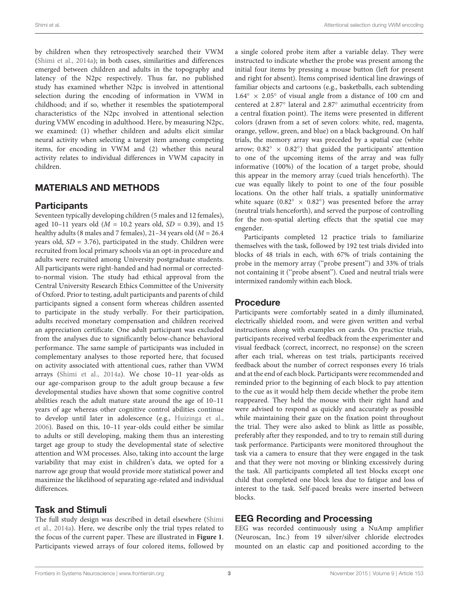by children when they retrospectively searched their VWM [\(Shimi et al.,](#page-9-16) [2014a\)](#page-9-16); in both cases, similarities and differences emerged between children and adults in the topography and latency of the N2pc respectively. Thus far, no published study has examined whether N2pc is involved in attentional selection during the encoding of information in VWM in childhood; and if so, whether it resembles the spatiotemporal characteristics of the N2pc involved in attentional selection during VMW encoding in adulthood. Here, by measuring N2pc, we examined: (1) whether children and adults elicit similar neural activity when selecting a target item among competing items, for encoding in VWM and (2) whether this neural activity relates to individual differences in VWM capacity in children.

## MATERIALS AND METHODS

## **Participants**

Seventeen typically developing children (5 males and 12 females), aged 10–11 years old ( $M = 10.2$  years old,  $SD = 0.39$ ), and 15 healthy adults (8 males and 7 females),  $21-34$  years old ( $M = 26.4$ years old,  $SD = 3.76$ ), participated in the study. Children were recruited from local primary schools via an opt-in procedure and adults were recruited among University postgraduate students. All participants were right-handed and had normal or correctedto-normal vision. The study had ethical approval from the Central University Research Ethics Committee of the University of Oxford. Prior to testing, adult participants and parents of child participants signed a consent form whereas children assented to participate in the study verbally. For their participation, adults received monetary compensation and children received an appreciation certificate. One adult participant was excluded from the analyses due to significantly below-chance behavioral performance. The same sample of participants was included in complementary analyses to those reported here, that focused on activity associated with attentional cues, rather than VWM arrays [\(Shimi et al.,](#page-9-16) [2014a\)](#page-9-16). We chose 10–11 year-olds as our age-comparison group to the adult group because a few developmental studies have shown that some cognitive control abilities reach the adult mature state around the age of 10–11 years of age whereas other cognitive control abilities continue to develop until later in adolescence (e.g., [Huizinga et al.,](#page-8-31) [2006\)](#page-8-31). Based on this, 10–11 year-olds could either be similar to adults or still developing, making them thus an interesting target age group to study the developmental state of selective attention and WM processes. Also, taking into account the large variability that may exist in children's data, we opted for a narrow age group that would provide more statistical power and maximize the likelihood of separating age-related and individual differences.

## Task and Stimuli

The full study design was described in detail elsewhere [\(Shimi](#page-9-16) [et al.,](#page-9-16) [2014a\)](#page-9-16). Here, we describe only the trial types related to the focus of the current paper. These are illustrated in **[Figure 1](#page-3-0)**. Participants viewed arrays of four colored items, followed by

a single colored probe item after a variable delay. They were instructed to indicate whether the probe was present among the initial four items by pressing a mouse button (left for present and right for absent). Items comprised identical line drawings of familiar objects and cartoons (e.g., basketballs, each subtending  $1.64° \times 2.05°$  of visual angle from a distance of 100 cm and centered at 2.87◦ lateral and 2.87◦ azimuthal eccentricity from a central fixation point). The items were presented in different colors (drawn from a set of seven colors: white, red, magenta, orange, yellow, green, and blue) on a black background. On half trials, the memory array was preceded by a spatial cue (white arrow;  $0.82^\circ \times 0.82^\circ$ ) that guided the participants' attention to one of the upcoming items of the array and was fully informative (100%) of the location of a target probe, should this appear in the memory array (cued trials henceforth). The cue was equally likely to point to one of the four possible locations. On the other half trials, a spatially uninformative white square  $(0.82° \times 0.82°)$  was presented before the array (neutral trials henceforth), and served the purpose of controlling for the non-spatial alerting effects that the spatial cue may engender.

Participants completed 12 practice trials to familiarize themselves with the task, followed by 192 test trials divided into blocks of 48 trials in each, with 67% of trials containing the probe in the memory array (''probe present'') and 33% of trials not containing it (''probe absent''). Cued and neutral trials were intermixed randomly within each block.

## Procedure

Participants were comfortably seated in a dimly illuminated, electrically shielded room, and were given written and verbal instructions along with examples on cards. On practice trials, participants received verbal feedback from the experimenter and visual feedback (correct, incorrect, no response) on the screen after each trial, whereas on test trials, participants received feedback about the number of correct responses every 16 trials and at the end of each block. Participants were recommended and reminded prior to the beginning of each block to pay attention to the cue as it would help them decide whether the probe item reappeared. They held the mouse with their right hand and were advised to respond as quickly and accurately as possible while maintaining their gaze on the fixation point throughout the trial. They were also asked to blink as little as possible, preferably after they responded, and to try to remain still during task performance. Participants were monitored throughout the task via a camera to ensure that they were engaged in the task and that they were not moving or blinking excessively during the task. All participants completed all test blocks except one child that completed one block less due to fatigue and loss of interest to the task. Self-paced breaks were inserted between blocks.

## EEG Recording and Processing

EEG was recorded continuously using a NuAmp amplifier (Neuroscan, Inc.) from 19 silver/silver chloride electrodes mounted on an elastic cap and positioned according to the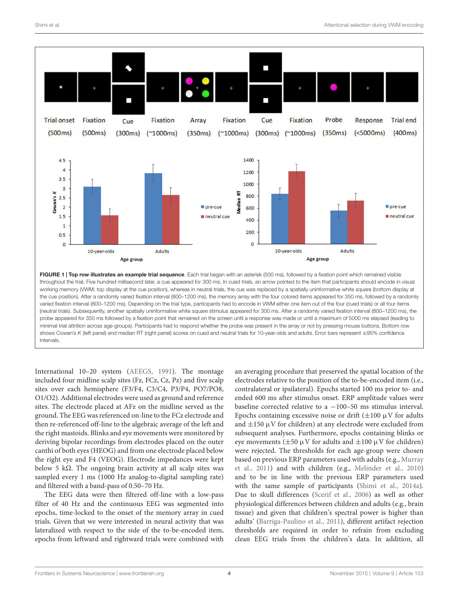

<span id="page-3-0"></span>varied fixation interval (800–1200 ms). Depending on the trial type, participants had to encode in VWM either one item out of the four (cued trials) or all four items (neutral trials). Subsequently, another spatially uninformative white square stimulus appeared for 300 ms. After a randomly varied fixation interval (800–1200 ms), the probe appeared for 350 ms followed by a fixation point that remained on the screen until a response was made or until a maximum of 5000 ms elapsed (leading to minimal trial attrition across age-groups). Participants had to respond whether the probe was present in the array or not by pressing mouse buttons. Bottom row shows Cowan's K (left panel) and median RT (right panel) scores on cued and neutral trials for 10-year-olds and adults. Error bars represent ±95% confidence intervals.

International 10–20 system [\(AEEGS,](#page-8-32) [1991\)](#page-8-32). The montage included four midline scalp sites (Fz, FCz, Cz, Pz) and five scalp sites over each hemisphere (F3/F4, C3/C4, P3/P4, PO7/PO8, O1/O2). Additional electrodes were used as ground and reference sites. The electrode placed at AFz on the midline served as the ground. The EEG was referenced on-line to the FCz electrode and then re-referenced off-line to the algebraic average of the left and the right mastoids. Blinks and eye movements were monitored by deriving bipolar recordings from electrodes placed on the outer canthi of both eyes (HEOG) and from one electrode placed below the right eye and F4 (VEOG). Electrode impedances were kept below 5 kΩ. The ongoing brain activity at all scalp sites was sampled every 1 ms (1000 Hz analog-to-digital sampling rate) and filtered with a band-pass of 0.50–70 Hz.

The EEG data were then filtered off-line with a low-pass filter of 40 Hz and the continuous EEG was segmented into epochs, time-locked to the onset of the memory array in cued trials. Given that we were interested in neural activity that was lateralized with respect to the side of the to-be-encoded item, epochs from leftward and rightward trials were combined with an averaging procedure that preserved the spatial location of the electrodes relative to the position of the to-be-encoded item (i.e., contralateral or ipsilateral). Epochs started 100 ms prior to- and ended 600 ms after stimulus onset. ERP amplitude values were baseline corrected relative to a −100–50 ms stimulus interval. Epochs containing excessive noise or drift  $(\pm 100 \,\mu\text{V})$  for adults and  $\pm$ 150 µV for children) at any electrode were excluded from subsequent analyses. Furthermore, epochs containing blinks or eye movements ( $\pm 50 \mu$ V for adults and  $\pm 100 \mu$ V for children) were rejected. The thresholds for each age-group were chosen based on previous ERP parameters used with adults (e.g., [Murray](#page-9-27) [et al.,](#page-9-27) [2011\)](#page-9-27) and with children (e.g., [Melinder et al.,](#page-9-28) [2010\)](#page-9-28) and to be in line with the previous ERP parameters used with the same sample of participants [\(Shimi et al.,](#page-9-16) [2014a\)](#page-9-16). Due to skull differences [\(Scerif et al.,](#page-9-29) [2006\)](#page-9-29) as well as other physiological differences between children and adults (e.g., brain tissue) and given that children's spectral power is higher than adults' [\(Barriga-Paulino et al.,](#page-8-33) [2011\)](#page-8-33), different artifact rejection thresholds are required in order to refrain from excluding clean EEG trials from the children's data. In addition, all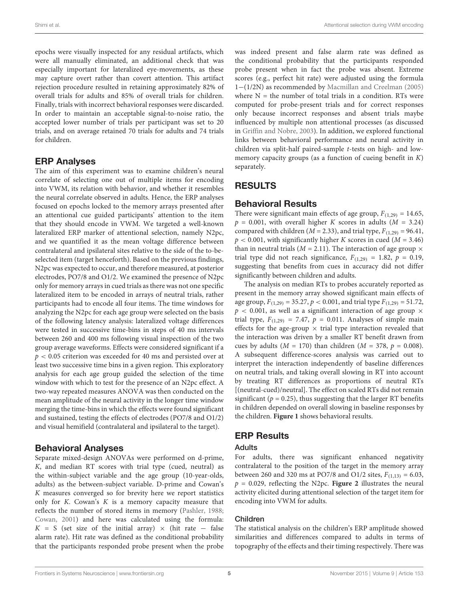epochs were visually inspected for any residual artifacts, which were all manually eliminated, an additional check that was especially important for lateralized eye-movements, as these may capture overt rather than covert attention. This artifact rejection procedure resulted in retaining approximately 82% of overall trials for adults and 85% of overall trials for children. Finally, trials with incorrect behavioral responses were discarded. In order to maintain an acceptable signal-to-noise ratio, the accepted lower number of trials per participant was set to 20 trials, and on average retained 70 trials for adults and 74 trials for children.

#### ERP Analyses

The aim of this experiment was to examine children's neural correlate of selecting one out of multiple items for encoding into VWM, its relation with behavior, and whether it resembles the neural correlate observed in adults. Hence, the ERP analyses focused on epochs locked to the memory arrays presented after an attentional cue guided participants' attention to the item that they should encode in VWM. We targeted a well-known lateralized ERP marker of attentional selection, namely N2pc, and we quantified it as the mean voltage difference between contralateral and ipsilateral sites relative to the side of the to-beselected item (target henceforth). Based on the previous findings, N2pc was expected to occur, and therefore measured, at posterior electrodes, PO7/8 and O1/2. We examined the presence of N2pc only for memory arrays in cued trials as there was not one specific lateralized item to be encoded in arrays of neutral trials, rather participants had to encode all four items. The time windows for analyzing the N2pc for each age group were selected on the basis of the following latency analysis: lateralized voltage differences were tested in successive time-bins in steps of 40 ms intervals between 260 and 400 ms following visual inspection of the two group average waveforms. Effects were considered significant if a  $p < 0.05$  criterion was exceeded for 40 ms and persisted over at least two successive time bins in a given region. This exploratory analysis for each age group guided the selection of the time window with which to test for the presence of an N2pc effect. A two-way repeated measures ANOVA was then conducted on the mean amplitude of the neural activity in the longer time window merging the time-bins in which the effects were found significant and sustained, testing the effects of electrodes (PO7/8 and O1/2) and visual hemifield (contralateral and ipsilateral to the target).

#### Behavioral Analyses

Separate mixed-design ANOVAs were performed on d-prime, K, and median RT scores with trial type (cued, neutral) as the within-subject variable and the age group (10-year-olds, adults) as the between-subject variable. D-prime and Cowan's K measures converged so for brevity here we report statistics only for  $K$ . Cowan's  $K$  is a memory capacity measure that reflects the number of stored items in memory [\(Pashler,](#page-9-30) [1988;](#page-9-30) [Cowan,](#page-8-0) [2001\)](#page-8-0) and here was calculated using the formula:  $K = S$  (set size of the initial array) × (hit rate – false alarm rate). Hit rate was defined as the conditional probability that the participants responded probe present when the probe

was indeed present and false alarm rate was defined as the conditional probability that the participants responded probe present when in fact the probe was absent. Extreme scores (e.g., perfect hit rate) were adjusted using the formula 1−(1/2N) as recommended by [Macmillan and Creelman](#page-9-31) [\(2005\)](#page-9-31) where  $N =$  the number of total trials in a condition. RTs were computed for probe-present trials and for correct responses only because incorrect responses and absent trials maybe influenced by multiple non attentional processes (as discussed in [Griffin and Nobre,](#page-8-34) [2003\)](#page-8-34). In addition, we explored functional links between behavioral performance and neural activity in children via split-half paired-sample t-tests on high- and lowmemory capacity groups (as a function of cueing benefit in  $K$ ) separately.

## RESULTS

### Behavioral Results

There were significant main effects of age group,  $F_{(1,29)} = 14.65$ ,  $p = 0.001$ , with overall higher K scores in adults ( $M = 3.24$ ) compared with children ( $M = 2.33$ ), and trial type,  $F_{(1,29)} = 96.41$ ,  $p < 0.001$ , with significantly higher K scores in cued ( $M = 3.46$ ) than in neutral trials ( $M = 2.11$ ). The interaction of age group  $\times$ trial type did not reach significance,  $F_{(1,29)} = 1.82$ ,  $p = 0.19$ , suggesting that benefits from cues in accuracy did not differ significantly between children and adults.

The analysis on median RTs to probes accurately reported as present in the memory array showed significant main effects of age group,  $F_{(1,29)} = 35.27$ ,  $p < 0.001$ , and trial type  $F_{(1,29)} = 51.72$ ,  $p < 0.001$ , as well as a significant interaction of age group  $\times$ trial type,  $F_{(1,29)} = 7.47$ ,  $p = 0.011$ . Analyses of simple main effects for the age-group  $\times$  trial type interaction revealed that the interaction was driven by a smaller RT benefit drawn from cues by adults ( $M = 170$ ) than children ( $M = 378$ ,  $p = 0.008$ ). A subsequent difference-scores analysis was carried out to interpret the interaction independently of baseline differences on neutral trials, and taking overall slowing in RT into account by treating RT differences as proportions of neutral RTs [(neutral-cued)/neutral]. The effect on scaled RTs did not remain significant ( $p = 0.25$ ), thus suggesting that the larger RT benefits in children depended on overall slowing in baseline responses by the children. **[Figure 1](#page-3-0)** shows behavioral results.

### ERP Results

#### Adults

For adults, there was significant enhanced negativity contralateral to the position of the target in the memory array between 260 and 320 ms at PO7/8 and O1/2 sites,  $F_{(1,13)} = 6.03$ ,  $p = 0.029$ , reflecting the N2pc. **[Figure 2](#page-5-0)** illustrates the neural activity elicited during attentional selection of the target item for encoding into VWM for adults.

#### Children

The statistical analysis on the children's ERP amplitude showed similarities and differences compared to adults in terms of topography of the effects and their timing respectively. There was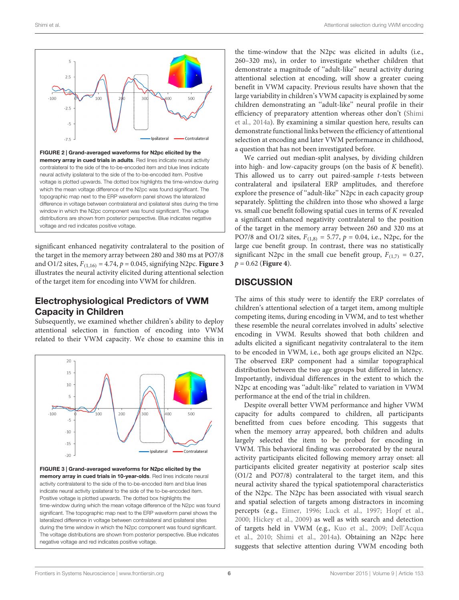

<span id="page-5-0"></span>significant enhanced negativity contralateral to the position of the target in the memory array between 280 and 380 ms at PO7/8 and O1/2 sites,  $F_{(1,16)} = 4.74$ ,  $p = 0.045$ , signifying N2pc. **[Figure 3](#page-5-1)** illustrates the neural activity elicited during attentional selection of the target item for encoding into VWM for children.

## Electrophysiological Predictors of VWM Capacity in Children

Subsequently, we examined whether children's ability to deploy attentional selection in function of encoding into VWM related to their VWM capacity. We chose to examine this in

<span id="page-5-1"></span>

the time-window that the N2pc was elicited in adults (i.e., 260–320 ms), in order to investigate whether children that demonstrate a magnitude of ''adult-like'' neural activity during attentional selection at encoding, will show a greater cueing benefit in VWM capacity. Previous results have shown that the large variability in children's VWM capacity is explained by some children demonstrating an ''adult-like'' neural profile in their efficiency of preparatory attention whereas other don't [\(Shimi](#page-9-16) [et al.,](#page-9-16) [2014a\)](#page-9-16). By examining a similar question here, results can demonstrate functional links between the efficiency of attentional selection at encoding and later VWM performance in childhood, a question that has not been investigated before.

We carried out median-split analyses, by dividing children into high- and low-capacity groups (on the basis of K benefit). This allowed us to carry out paired-sample  $t$ -tests between contralateral and ipsilateral ERP amplitudes, and therefore explore the presence of ''adult-like'' N2pc in each capacity group separately. Splitting the children into those who showed a large vs. small cue benefit following spatial cues in terms of K revealed a significant enhanced negativity contralateral to the position of the target in the memory array between 260 and 320 ms at PO7/8 and O1/2 sites,  $F_{(1,8)} = 5.77$ ,  $p = 0.04$ , i.e., N2pc, for the large cue benefit group. In contrast, there was no statistically significant N2pc in the small cue benefit group,  $F_{(1,7)} = 0.27$ , p = 0.62 (**[Figure 4](#page-6-0)**).

## **DISCUSSION**

The aims of this study were to identify the ERP correlates of children's attentional selection of a target item, among multiple competing items, during encoding in VWM, and to test whether these resemble the neural correlates involved in adults' selective encoding in VWM. Results showed that both children and adults elicited a significant negativity contralateral to the item to be encoded in VWM, i.e., both age groups elicited an N2pc. The observed ERP component had a similar topographical distribution between the two age groups but differed in latency. Importantly, individual differences in the extent to which the N2pc at encoding was ''adult-like'' related to variation in VWM performance at the end of the trial in children.

Despite overall better VWM performance and higher VWM capacity for adults compared to children, all participants benefitted from cues before encoding. This suggests that when the memory array appeared, both children and adults largely selected the item to be probed for encoding in VWM. This behavioral finding was corroborated by the neural activity participants elicited following memory array onset: all participants elicited greater negativity at posterior scalp sites (O1/2 and PO7/8) contralateral to the target item, and this neural activity shared the typical spatiotemporal characteristics of the N2pc. The N2pc has been associated with visual search and spatial selection of targets among distractors in incoming percepts (e.g., [Eimer,](#page-8-24) [1996;](#page-8-24) [Luck et al.,](#page-9-32) [1997;](#page-9-32) [Hopf et al.,](#page-8-35) [2000;](#page-8-35) [Hickey et al.,](#page-8-25) [2009\)](#page-8-25) as well as with search and detection of targets held in VWM (e.g., [Kuo et al.,](#page-8-29) [2009;](#page-8-29) [Dell'Acqua](#page-8-36) [et al.,](#page-8-36) [2010;](#page-8-36) [Shimi et al.,](#page-9-16) [2014a\)](#page-9-16). Obtaining an N2pc here suggests that selective attention during VWM encoding both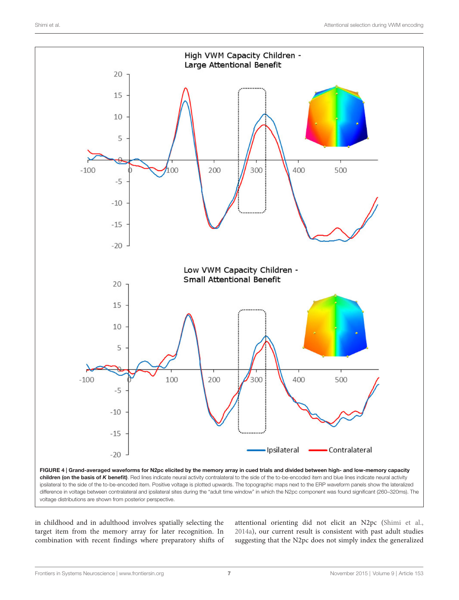

<span id="page-6-0"></span>in childhood and in adulthood involves spatially selecting the target item from the memory array for later recognition. In combination with recent findings where preparatory shifts of attentional orienting did not elicit an N2pc [\(Shimi et al.,](#page-9-16) [2014a\)](#page-9-16), our current result is consistent with past adult studies suggesting that the N2pc does not simply index the generalized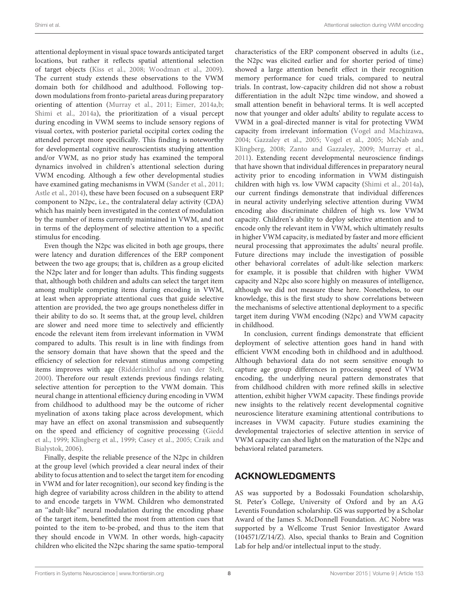attentional deployment in visual space towards anticipated target locations, but rather it reflects spatial attentional selection of target objects [\(Kiss et al.,](#page-8-27) [2008;](#page-8-27) [Woodman et al.,](#page-9-25) [2009\)](#page-9-25). The current study extends these observations to the VWM domain both for childhood and adulthood. Following topdown modulations from fronto-parietal areas during preparatory orienting of attention [\(Murray et al.,](#page-9-27) [2011;](#page-9-27) [Eimer,](#page-8-37) [2014a](#page-8-37)[,b;](#page-8-38) [Shimi et al.,](#page-9-16) [2014a\)](#page-9-16), the prioritization of a visual percept during encoding in VWM seems to include sensory regions of visual cortex, with posterior parietal occipital cortex coding the attended percept more specifically. This finding is noteworthy for developmental cognitive neuroscientists studying attention and/or VWM, as no prior study has examined the temporal dynamics involved in children's attentional selection during VWM encoding. Although a few other developmental studies have examined gating mechanisms in VWM [\(Sander et al.,](#page-9-13) [2011;](#page-9-13) [Astle et al.,](#page-8-22) [2014\)](#page-8-22), these have been focused on a subsequent ERP component to N2pc, i.e., the contralateral delay activity (CDA) which has mainly been investigated in the context of modulation by the number of items currently maintained in VWM, and not in terms of the deployment of selective attention to a specific stimulus for encoding.

Even though the N2pc was elicited in both age groups, there were latency and duration differences of the ERP component between the two age groups; that is, children as a group elicited the N2pc later and for longer than adults. This finding suggests that, although both children and adults can select the target item among multiple competing items during encoding in VWM, at least when appropriate attentional cues that guide selective attention are provided, the two age groups nonetheless differ in their ability to do so. It seems that, at the group level, children are slower and need more time to selectively and efficiently encode the relevant item from irrelevant information in VWM compared to adults. This result is in line with findings from the sensory domain that have shown that the speed and the efficiency of selection for relevant stimulus among competing items improves with age [\(Ridderinkhof and van der Stelt,](#page-9-19) [2000\)](#page-9-19). Therefore our result extends previous findings relating selective attention for perception to the VWM domain. This neural change in attentional efficiency during encoding in VWM from childhood to adulthood may be the outcome of richer myelination of axons taking place across development, which may have an effect on axonal transmission and subsequently on the speed and efficiency of cognitive processing [\(Giedd](#page-8-39) [et al.,](#page-8-39) [1999;](#page-8-39) [Klingberg et al.,](#page-8-40) [1999;](#page-8-40) [Casey et al.,](#page-8-41) [2005;](#page-8-41) [Craik and](#page-8-42) [Bialystok,](#page-8-42) [2006\)](#page-8-42).

Finally, despite the reliable presence of the N2pc in children at the group level (which provided a clear neural index of their ability to focus attention and to select the target item for encoding in VWM and for later recognition), our second key finding is the high degree of variability across children in the ability to attend to and encode targets in VWM. Children who demonstrated an ''adult-like'' neural modulation during the encoding phase of the target item, benefitted the most from attention cues that pointed to the item to-be-probed, and thus to the item that they should encode in VWM. In other words, high-capacity children who elicited the N2pc sharing the same spatio-temporal characteristics of the ERP component observed in adults (i.e., the N2pc was elicited earlier and for shorter period of time) showed a large attention benefit effect in their recognition memory performance for cued trials, compared to neutral trials. In contrast, low-capacity children did not show a robust differentiation in the adult N2pc time window, and showed a small attention benefit in behavioral terms. It is well accepted now that younger and older adults' ability to regulate access to VWM in a goal-directed manner is vital for protecting VWM capacity from irrelevant information [\(Vogel and Machizawa,](#page-9-2) [2004;](#page-9-2) [Gazzaley et al.,](#page-8-11) [2005;](#page-8-11) [Vogel et al.,](#page-9-3) [2005;](#page-9-3) [McNab and](#page-9-4) [Klingberg,](#page-9-4) [2008;](#page-9-4) [Zanto and Gazzaley,](#page-9-33) [2009;](#page-9-33) [Murray et al.,](#page-9-27) [2011\)](#page-9-27). Extending recent developmental neuroscience findings that have shown that individual differences in preparatory neural activity prior to encoding information in VWM distinguish children with high vs. low VWM capacity [\(Shimi et al.,](#page-9-16) [2014a\)](#page-9-16), our current findings demonstrate that individual differences in neural activity underlying selective attention during VWM encoding also discriminate children of high vs. low VWM capacity. Children's ability to deploy selective attention and to encode only the relevant item in VWM, which ultimately results in higher VWM capacity, is mediated by faster and more efficient neural processing that approximates the adults' neural profile. Future directions may include the investigation of possible other behavioral correlates of adult-like selection markers: for example, it is possible that children with higher VWM capacity and N2pc also score highly on measures of intelligence, although we did not measure these here. Nonetheless, to our knowledge, this is the first study to show correlations between the mechanisms of selective attentional deployment to a specific target item during VWM encoding (N2pc) and VWM capacity in childhood.

In conclusion, current findings demonstrate that efficient deployment of selective attention goes hand in hand with efficient VWM encoding both in childhood and in adulthood. Although behavioral data do not seem sensitive enough to capture age group differences in processing speed of VWM encoding, the underlying neural pattern demonstrates that from childhood children with more refined skills in selective attention, exhibit higher VWM capacity. These findings provide new insights to the relatively recent developmental cognitive neuroscience literature examining attentional contributions to increases in VWM capacity. Future studies examining the developmental trajectories of selective attention in service of VWM capacity can shed light on the maturation of the N2pc and behavioral related parameters.

## ACKNOWLEDGMENTS

AS was supported by a Bodossaki Foundation scholarship, St. Peter's College, University of Oxford and by an A.G Leventis Foundation scholarship. GS was supported by a Scholar Award of the James S. McDonnell Foundation. AC Nobre was supported by a Wellcome Trust Senior Investigator Award (104571/Z/14/Z). Also, special thanks to Brain and Cognition Lab for help and/or intellectual input to the study.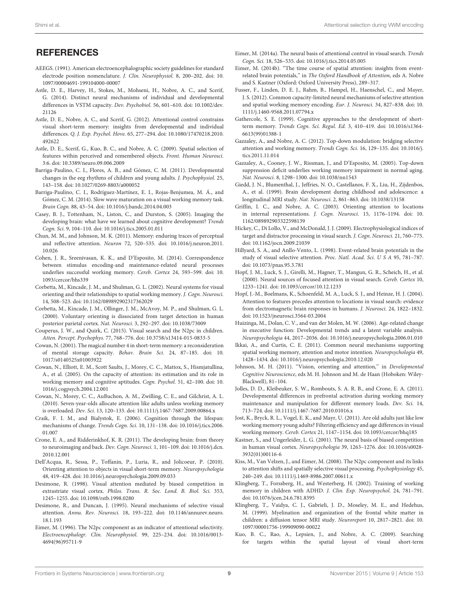## **REFERENCES**

- <span id="page-8-32"></span>AEEGS. (1991). American electroencephalographic society guidelines for standard electrode position nomenclature. J. Clin. Neurophysiol. 8, 200–202. doi: 10. 1097/00004691-199104000-00007
- <span id="page-8-22"></span>Astle, D. E., Harvey, H., Stokes, M., Mohseni, H., Nobre, A. C., and Scerif, G. (2014). Distinct neural mechanisms of individual and developmental differences in VSTM capacity. Dev. Psychobiol. 56, 601–610. doi: 10.1002/dev. 21126
- <span id="page-8-21"></span>Astle, D. E., Nobre, A. C., and Scerif, G. (2012). Attentional control constrains visual short-term memory: insights from developmental and individual differences. Q. J. Exp. Psychol. Hove. 65, 277–294. doi: 10.1080/17470218.2010. 492622
- <span id="page-8-28"></span>Astle, D. E., Scerif, G., Kuo, B. C., and Nobre, A. C. (2009). Spatial selection of features within perceived and remembered objects. Front. Human Neurosci. 3:6. doi: 10.3389/neuro.09.006.2009
- <span id="page-8-33"></span>Barriga-Paulino, C. I., Flores, A. B., and Gómez, C. M. (2011). Developmental changes in the eeg rhythms of children and young adults. J. Psychophysiol. 25, 143–158. doi: 10.1027/0269-8803/a000052
- <span id="page-8-18"></span>Barriga-Paulino, C. I., Rodríguez-Martínez, E. I., Rojas-Benjumea, M. Á., and Gómez, C. M. (2014). Slow wave maturation on a visual working memory task. Brain Cogn. 88, 43–54. doi: 10.1016/j.bandc.2014.04.003
- <span id="page-8-41"></span>Casey, B. J., Tottenham, N., Liston, C., and Durston, S. (2005). Imaging the developing brain: what have we learned about cognitive development? Trends Cogn. Sci. 9, 104–110. doi: 10.1016/j.tics.2005.01.011
- <span id="page-8-6"></span>Chun, M. M., and Johnson, M. K. (2011). Memory: enduring traces of perceptual and reflective attention. Neuron 72, 520–535. doi: 10.1016/j.neuron.2011. 10.026
- <span id="page-8-10"></span>Cohen, J. R., Sreenivasan, K. K., and D'Esposito, M. (2014). Correspondence between stimulus encoding-and maintenance-related neural processes underlies successful working memory. Cereb. Cortex 24, 593–599. doi: 10. 1093/cercor/bhs339
- <span id="page-8-5"></span>Corbetta, M., Kincade, J. M., and Shulman, G. L. (2002). Neural systems for visual orienting and their relationships to spatial working memory. J. Cogn. Neurosci. 14, 508–523. doi: 10.1162/089892902317362029
- <span id="page-8-3"></span>Corbetta, M., Kincade, J. M., Ollinger, J. M., McAvoy, M. P., and Shulman, G. L. (2000). Voluntary orienting is dissociated from target detection in human posterior parietal cortex. Nat. Neurosci. 3, 292–297. doi: 10.1038/73009
- <span id="page-8-30"></span>Couperus, J. W., and Quirk, C. (2015). Visual search and the N2pc in children. Atten. Percept. Psychophys. 77, 768–776. doi: 10.3758/s13414-015-0833-5
- <span id="page-8-0"></span>Cowan, N. (2001). The magical number 4 in short-term memory: a reconsideration of mental storage capacity. Behav. Brain Sci. 24, 87–185. doi: 10. 1017/s0140525x01003922
- <span id="page-8-14"></span>Cowan, N., Elliott, E. M., Scott Saults, J., Morey, C. C., Mattox, S., Hismjatullina, A., et al. (2005). On the capacity of attention: its estimation and its role in working memory and cognitive aptitudes. Cogn. Psychol. 51, 42–100. doi: 10. 1016/j.cogpsych.2004.12.001
- <span id="page-8-20"></span>Cowan, N., Morey, C. C., AuBuchon, A. M., Zwilling, C. E., and Gilchrist, A. L. (2010). Seven-year-olds allocate attention like adults unless working memory is overloaded. Dev. Sci. 13, 120–133. doi: 10.1111/j.1467-7687.2009.00864.x
- <span id="page-8-42"></span>Craik, F. I. M., and Bialystok, E. (2006). Cognition through the lifespan: mechanisms of change. Trends Cogn. Sci. 10, 131–138. doi: 10.1016/j.tics.2006. 01.007
- <span id="page-8-16"></span>Crone, E. A., and Ridderinkhof, K. R. (2011). The developing brain: from theory to neuroimaging and back. Dev. Cogn. Neurosci. 1, 101–109. doi: 10.1016/j.dcn. 2010.12.001
- <span id="page-8-36"></span>Dell'Acqua, R., Sessa, P., Toffanin, P., Luria, R., and Jolicoeur, P. (2010). Orienting attention to objects in visual short-term memory. Neuropsychologia 48, 419–428. doi: 10.1016/j.neuropsychologia.2009.09.033
- <span id="page-8-2"></span>Desimone, R. (1998). Visual attention mediated by biased competition in extrastriate visual cortex. Philos. Trans. R. Soc. Lond. B. Biol. Sci. 353, 1245–1255. doi: 10.1098/rstb.1998.0280
- <span id="page-8-1"></span>Desimone, R., and Duncan, J. (1995). Neural mechanisms of selective visual attention. Annu. Rev. Neurosci. 18, 193–222. doi: 10.1146/annurev.neuro. 18.1.193
- <span id="page-8-24"></span>Eimer, M. (1996). The N2pc component as an indicator of attentional selectivity. Electroencephalogr. Clin. Neurophysiol. 99, 225–234. doi: 10.1016/0013- 4694(96)95711-9
- <span id="page-8-37"></span>Eimer, M. (2014a). The neural basis of attentional control in visual search. Trends Cogn. Sci. 18, 526–535. doi: 10.1016/j.tics.2014.05.005
- <span id="page-8-38"></span>Eimer, M. (2014b). "The time course of spatial attention: insights from eventrelated brain potentials,'' in The Oxford Handbook of Attention, eds A. Nobre and S. Kastner (Oxford: Oxford University Press), 289–317.
- <span id="page-8-8"></span>Fusser, F., Linden, D. E. J., Rahm, B., Hampel, H., Haenschel, C., and Mayer, J. S. (2012). Common capacity-limited neural mechanisms of selective attention and spatial working memory encoding. Eur. J. Neurosci. 34, 827–838. doi: 10. 1111/j.1460-9568.2011.07794.x
- <span id="page-8-13"></span>Gathercole, S. E. (1999). Cognitive approaches to the development of shortterm memory. Trends Cogn. Sci. Regul. Ed. 3, 410–419. doi: 10.1016/s1364- 6613(99)01388-1
- <span id="page-8-9"></span>Gazzaley, A., and Nobre, A. C. (2012). Top-down modulation: bridging selective attention and working memory. Trends Cogn. Sci. 16, 129–135. doi: 10.1016/j. tics.2011.11.014
- <span id="page-8-11"></span>Gazzaley, A., Cooney, J. W., Rissman, J., and D'Esposito, M. (2005). Top-down suppression deficit underlies working memory impairment in normal aging. Nat. Neurosci. 8, 1298–1300. doi: 10.1038/nn1543
- <span id="page-8-39"></span>Giedd, J. N., Blumenthal, J., Jeffries, N. O., Castellanos, F. X., Liu, H., Zijdenbos, A., et al. (1999). Brain development during childhood and adolescence: a longitudinal MRI study. Nat. Neurosci. 2, 861–863. doi: 10.1038/13158
- <span id="page-8-34"></span>Griffin, I. C., and Nobre, A. C. (2003). Orienting attention to locations in internal representations. J. Cogn. Neurosci. 15, 1176–1194. doi: 10. 1162/089892903322598139
- <span id="page-8-25"></span>Hickey, C., Di Lollo, V., and McDonald, J. J. (2009). Electrophysiological indices of target and distractor processing in visual search. J. Cogn. Neurosci. 21, 760–775. doi: 10.1162/jocn.2009.21039
- <span id="page-8-23"></span>Hillyard, S. A., and Anllo-Vento, L. (1998). Event-related brain potentials in the study of visual selective attention. Proc. Natl. Acad. Sci. U S A 95, 781–787. doi: 10.1073/pnas.95.3.781
- <span id="page-8-35"></span>Hopf, J. M., Luck, S. J., Girelli, M., Hagner, T., Mangun, G. R., Scheich, H., et al. (2000). Neural sources of focused attention in visual search. Cereb. Cortex 10, 1233–1241. doi: 10.1093/cercor/10.12.1233
- <span id="page-8-26"></span>Hopf, J.-M., Boelmans, K., Schoenfeld, M. A., Luck, S. J., and Heinze, H. J. (2004). Attention to features precedes attention to locations in visual search: evidence from electromagnetic brain responses in humans. J. Neurosci. 24, 1822–1832. doi: 10.1523/jneurosci.3564-03.2004
- <span id="page-8-31"></span>Huizinga, M., Dolan, C. V., and van der Molen, M. W. (2006). Age-related change in executive function: Developmental trends and a latent variable analysis. Neuropsychologia 44, 2017–2036. doi: 10.1016/j.neuropsychologia.2006.01.010
- <span id="page-8-7"></span>Ikkai, A., and Curtis, C. E. (2011). Common neural mechanisms supporting spatial working memory, attention and motor intention. Neuropsychologia 49, 1428–1434. doi: 10.1016/j.neuropsychologia.2010.12.020
- <span id="page-8-19"></span>Johnson, M. H. (2011). "Vision, orienting and attention," in Developmental Cognitive Neuroscience, eds M. H. Johnson and M. de Haan (Hoboken: Wiley-Blackwell), 81–104.
- <span id="page-8-17"></span>Jolles, D. D., Kleibeuker, S. W., Rombouts, S. A. R. B., and Crone, E. A. (2011). Developmental differences in prefrontal activation during working memory maintenance and manipulation for different memory loads. Dev. Sci. 14, 713–724. doi: 10.1111/j.1467-7687.2010.01016.x
- <span id="page-8-12"></span>Jost, K., Bryck, R. L., Vogel, E. K., and Mayr, U. (2011). Are old adults just like low working memory young adults? Filtering efficiency and age differences in visual working memory. Cereb. Cortex 21, 1147–1154. doi: 10.1093/cercor/bhq185
- <span id="page-8-4"></span>Kastner, S., and Ungerleider, L. G. (2001). The neural basis of biased competition in human visual cortex. Neuropsychologia 39, 1263–1276. doi: 10.1016/s0028- 3932(01)00116-6
- <span id="page-8-27"></span>Kiss, M., Van Velzen, J., and Eimer, M. (2008). The N2pc component and its links to attention shifts and spatially selective visual processing. Psychophysiology 45, 240–249. doi: 10.1111/j.1469-8986.2007.00611.x
- <span id="page-8-15"></span>Klingberg, T., Forssberg, H., and Westerberg, H. (2002). Training of working memory in children with ADHD. J. Clin. Exp. Neuropsychol. 24, 781–791. doi: 10.1076/jcen.24.6.781.8395
- <span id="page-8-40"></span>Klingberg, T., Vaidya, C. J., Gabrieli, J. D., Moseley, M. E., and Hedehus, M. (1999). Myelination and organization of the frontal white matter in children: a diffusion tensor MRI study. Neuroreport 10, 2817–2821. doi: 10. 1097/00001756-199909090-00022
- <span id="page-8-29"></span>Kuo, B. C., Rao, A., Lepsien, J., and Nobre, A. C. (2009). Searching for targets within the spatial layout of visual short-term